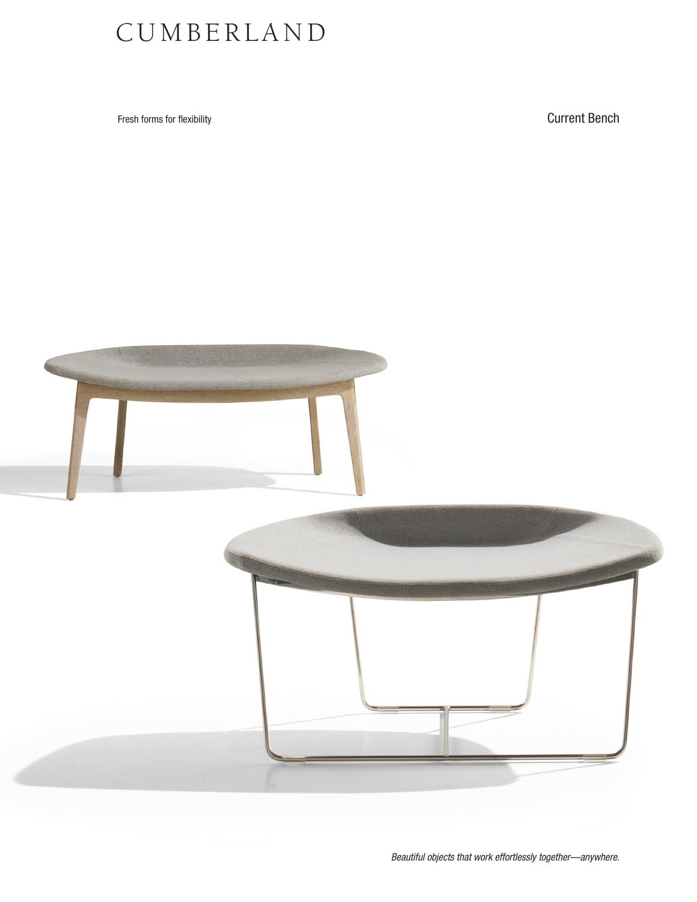## CUMBERLAND

Fresh forms for flexibility **Current Bench**